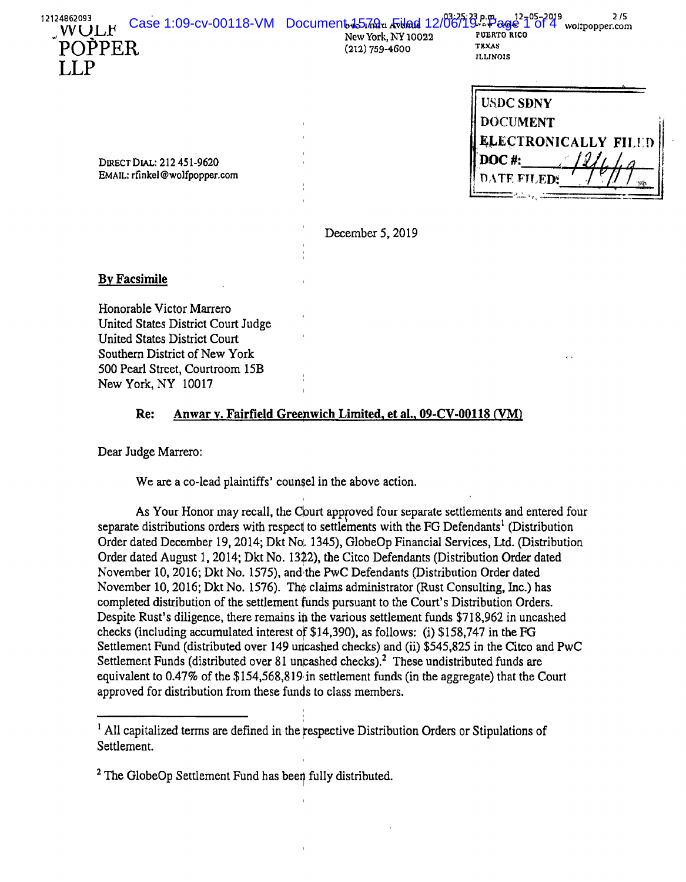|        | $\frac{12124802093}{12124802093}$<br>VVULF Case 1:09-cv-00118-VM Document 45720 Atland 12/06/19 Page 1 of 4 woltpopper.com |                 |  |
|--------|----------------------------------------------------------------------------------------------------------------------------|-----------------|--|
|        | <b>New York, NY 10022</b>                                                                                                  |                 |  |
| POPPER | $(212) 759 - 4600$                                                                                                         | TEXAS           |  |
|        |                                                                                                                            | <b>ILLINOIS</b> |  |

| <b>USDC SDNY</b>     |  |
|----------------------|--|
| <b>DOCUMENT</b>      |  |
| ELECTRONICALLY FILED |  |
| <b>DOC#:</b>         |  |
| DATE FILEDS          |  |
|                      |  |

DIRECT DIAL: 212 451-9620 EMAIL: rfinkel@wolfpopper.com

December 5, 2019

### **By Facsimile**

LLP

Honorable Victor Marrero United States District Court Judge United States District Court Southern District of New York 500 Pearl Street, Courtroom 15B New York, NY 10017

## **Re:** Anwar v. Fairfield Greenwich Limited, et al., 09-CV-00118 (VM)

Dear Judge Marrero:

We are a co-lead plaintiffs' counsel in the above action.

As Your Honor may recall, the Court approved four separate settlements and entered four separate distributions orders with respect to settlements with the FG Defendants<sup>1</sup> (Distribution Order dated December 19, 2014; Dkt No. 1345), GlobeOp Financial Services, Ltd. (Distribution Order dated August 1, 2014; Dkt No. 1322), the Citco Defendants (Distribution Order dated November 10, 2016; Dkt No. 1575), and:the PwC Defendants (Distribution Order dated November 10, 2016; Dkt No. 1576). Th¢ claims administrator (Rust Consulting, Inc.) has completed distribution of the settlement funds pursuant to the Court's Distribution Orders. Despite Rust's diligence, there remains in the various settlement funds \$718,962 in uncashed checks (including accumulated interest of \$14,390), as follows: (i) \$158,747 in the FG Settlement Fund (distributed over 149 uncashed checks) and (ii) \$545,825 in the Citco and PwC Settlement Funds (distributed over 81 uncashed checks).<sup>2</sup> These undistributed funds are equivalent to 0.47% of the \$154,568,819 in settlement funds (in the aggregate) that the Court approved for distribution from these funds to class members.

 $<sup>1</sup>$  All capitalized terms are defined in the respective Distribution Orders or Stipulations of</sup> Settlement.

 $2$  The GlobeOp Settlement Fund has been fully distributed.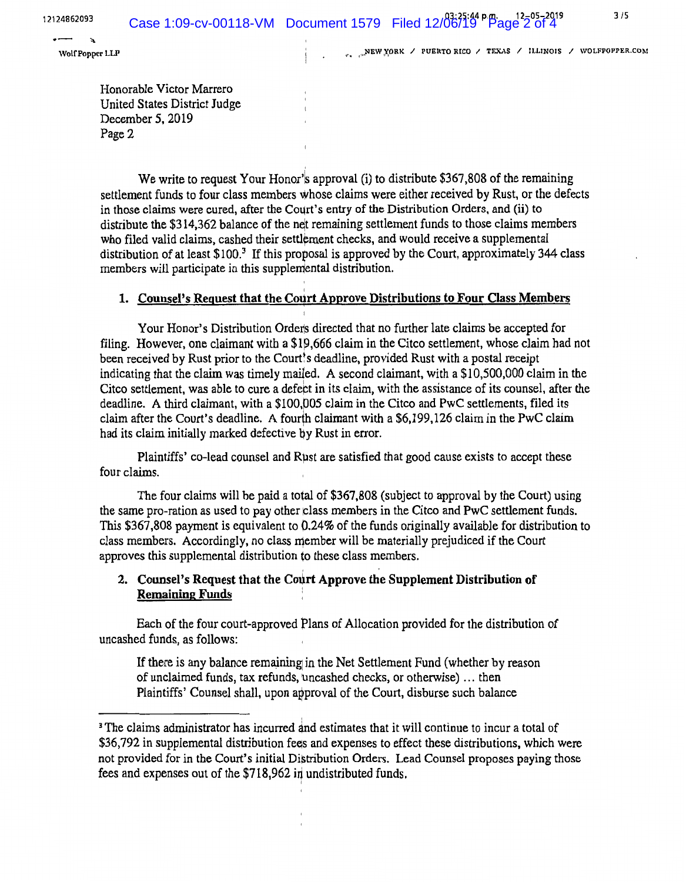WEW YORK / PUERTO RICO / TEXAS / ILLINOIS / WOLFPOPPER.COM

12124862093<br>  $\begin{array}{ccc}\n&\bullet &\bullet &\bullet \\
&\bullet &\bullet &\bullet\n\end{array}$ <br>
Wolf Popper LLP

Honorable Victor Marrero United States District Judge December 5, 2019 Page 2

We write to request Your Honor's approval (i) to distribute \$367,808 of the remaining settlement funds to four class members whose claims were either received by Rust, or the defects in those claims were cured, after the Court's entry of the Distribution Orders, and (ii) to distribute the \$314,362 balance of the net remaining settlement funds to those claims members who filed valid claims, cashed their settlement checks, and would receive a supplemental distribution of at least  $$100<sup>3</sup>$  If this proposal is approved by the Court, approximately 344 class members will participate in this supplemental distribution.

# 1. Counsel's Request that the Court Approve Distributions to Four Class Members

Your Honor's Distribution Order's directed that no further late claims be accepted for filing. However, one claimant with a \$19,666 claim in the Citco settlement, whose claim had not been received by Rust prior to the Court's deadline, provided Rust with a postal receipt indicating that the claim was timely mailed. A second claimant, with a \$10,500,000 claim in the Citco settlement, was able to cure a defebt in its claim, with the assistance of its counsel, after the deadline. A third claimant, with a \$100,005 claim in the Citco and PwC settlements, filed its claim after the Court's deadline. A fourth claimant with a \$6,199,126 claim in the PwC claim had its claim initially marked defective by Rust in error.

Plaintiffs' co-lead counsel and Rµst are satisfied that good cause exists to accept these four claims.

The four claims will be paid a total of \$367,808 (subject to approval by the Court) using the same pro-ration as used to pay other class members in the Citco and PwC settlement funds. This \$367,808 payment is equivalent to 0.24% of the funds originally available for distribution to  $class$  members. Accordingly, no class member will be materially prejudiced if the Court approves this supplemental distribution to these class members.

## 2. Counsel's Request that the Court Approve the Supplement Distribution of **Remaining Funds** :

Each of the four court-approved Plans of Allocation provided for the distribution of uncashed funds, as follows:

If there is any balance remaining in the Net Settlement Fund (whether by reason of unclaimed funds, tax refunds, uncashed checks, or otherwise) ... then Plaintiffs' Counsel shall, upon approval of the Court, disburse such balance

<sup>&</sup>lt;sup>3</sup> The claims administrator has incurred and estimates that it will continue to incur a total of \$36,792 in supplemental distribution fees and expenses to effect these distributions, which were not provided for in the Court's initial Distribution Orders. Lead Counsel proposes paying those fees and expenses out of the \$718,962 in undistributed funds.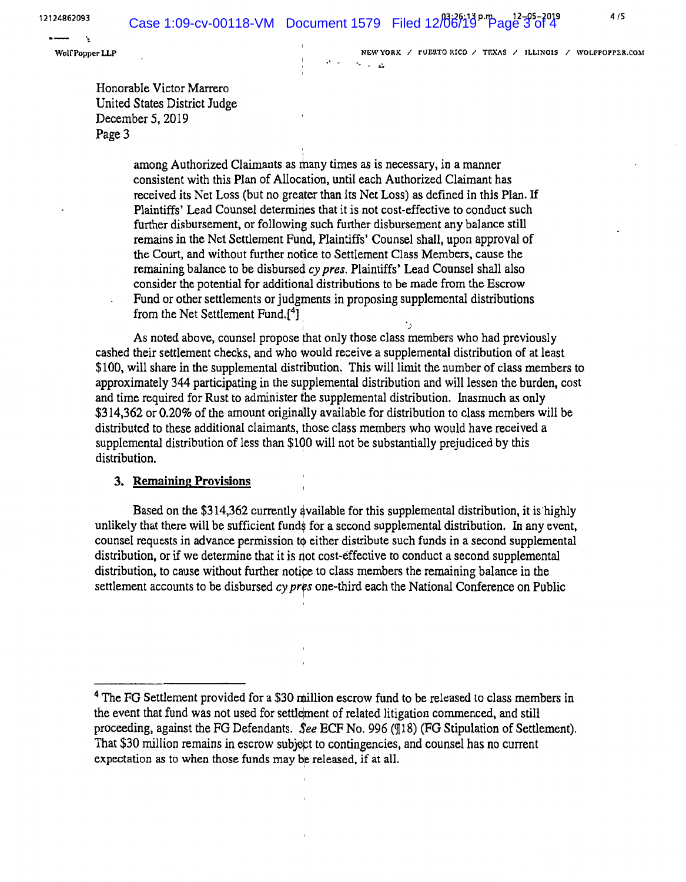't

Wolf Popper LLP NEW YORK / PUERTO RICO / TEXAS / ILLINOIS / WOLFPOPPER.COM  $x_n = -1$ 

Honorable Victor Marrero United States District Judge December 5, 2019 Page 3

> i among Authorized Claimants as many times as is necessary, in a manner consistent with this Plan of Allocation, until each Authorized Claimant has received its Net Loss (but no greater than its Net Loss) as defined in this Plan. If Plaintiffs' Lead Counsel determines that it is not cost-effective to conduct such further disbursement, or following such further disbursement any balance still remains in the Net Settlement Fund, Plaintiffs' Counsel shall, upon approval of the Court, and without further notice to Settlement Class Members, cause the remaining balance to be disbursed *cy pres.* Plaintiffs' Lead Counsel shall also consider the potential for additional distributions to be made from the Escrow Fund or other settlements or judgments in proposing supplemental distributions from the Net Settlement Fund.<sup>[4</sup>]

As noted above, counsel propose that only those class members who had previously cashed their settlement checks, and who would receive a supplemental distribution of at least \$100, will share in the supplemental distribution. This will limit the number of class members to approximately 344 participating in the supplemental distribution and will lessen the burden, cost and time required for Rust to administer the supplemental distribution. Inasmuch as only \$314,362 or 0.20% of the amount originally available for distribution to class members will be distributed to these additional claimants, those class members who would have received a supplemental distribution of less than \$100 will not be substantially prejudiced by this distribution.

#### **3. Remaining Provisions**

Based on the \$314,362 currently 4vailable for this supplemental distribution, it is highly unlikely that there will be sufficient funds for a second supplemental distribution. In any event, counsel requests in advance permission to either distribute such funds in a second supplemental distribution, or if we determine that *it* is not cost-effective to conduct a second supplemental distribution, to cause without further notice to class members the remaining balance in the settlement accounts to be disbursed cy pres one-third each the National Conference on Public

<sup>&</sup>lt;sup>4</sup> The FG Settlement provided for a \$30 million escrow fund to be released to class members in the event that fund was not used for settlement of related litigation commenced, and still proceeding, against the FG Defendants. *See* ECF No. 996 (¶18) (FG Stipulation of Settlement). That \$30 million remains in escrow subject to contingencies, and counsel has no current expectation as to when those funds may be released, if at all.